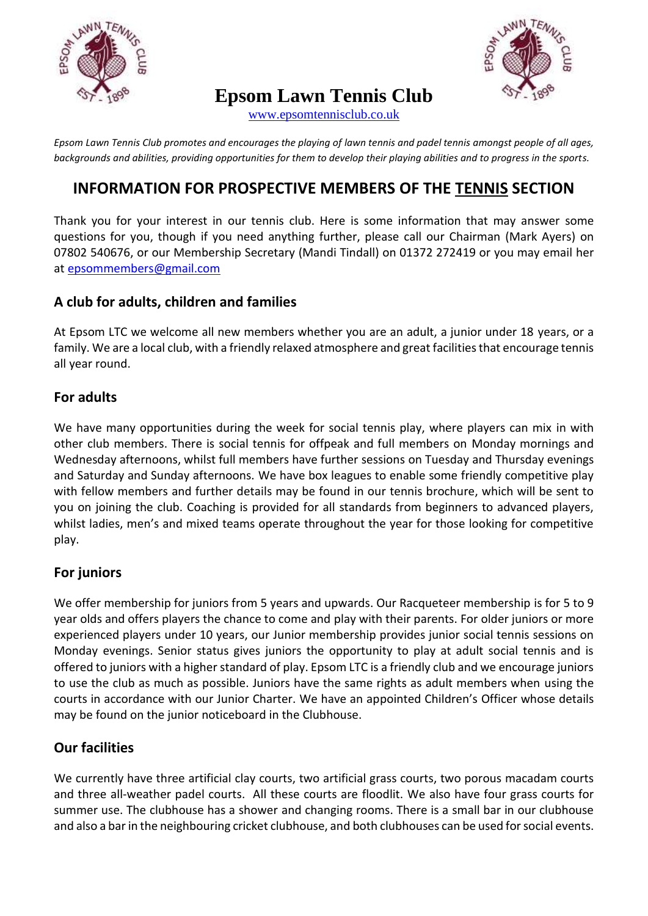

# **Epsom Lawn Tennis Club**



[www.epsomtennisclub.co.uk](http://www.epsomtennisclub.co.uk/)

*Epsom Lawn Tennis Club promotes and encourages the playing of lawn tennis and padel tennis amongst people of all ages, backgrounds and abilities, providing opportunities for them to develop their playing abilities and to progress in the sports.*

# **INFORMATION FOR PROSPECTIVE MEMBERS OF THE TENNIS SECTION**

Thank you for your interest in our tennis club. Here is some information that may answer some questions for you, though if you need anything further, please call our Chairman (Mark Ayers) on 07802 540676, or our Membership Secretary (Mandi Tindall) on 01372 272419 or you may email her at [epsommembers@gmail.com](mailto:epsommembers@gmail.com)

#### **A club for adults, children and families**

At Epsom LTC we welcome all new members whether you are an adult, a junior under 18 years, or a family. We are a local club, with a friendly relaxed atmosphere and great facilities that encourage tennis all year round.

#### **For adults**

We have many opportunities during the week for social tennis play, where players can mix in with other club members. There is social tennis for offpeak and full members on Monday mornings and Wednesday afternoons, whilst full members have further sessions on Tuesday and Thursday evenings and Saturday and Sunday afternoons. We have box leagues to enable some friendly competitive play with fellow members and further details may be found in our tennis brochure, which will be sent to you on joining the club. Coaching is provided for all standards from beginners to advanced players, whilst ladies, men's and mixed teams operate throughout the year for those looking for competitive play.

# **For juniors**

We offer membership for juniors from 5 years and upwards. Our Racqueteer membership is for 5 to 9 year olds and offers players the chance to come and play with their parents. For older juniors or more experienced players under 10 years, our Junior membership provides junior social tennis sessions on Monday evenings. Senior status gives juniors the opportunity to play at adult social tennis and is offered to juniors with a higher standard of play. Epsom LTC is a friendly club and we encourage juniors to use the club as much as possible. Juniors have the same rights as adult members when using the courts in accordance with our Junior Charter. We have an appointed Children's Officer whose details may be found on the junior noticeboard in the Clubhouse.

# **Our facilities**

We currently have three artificial clay courts, two artificial grass courts, two porous macadam courts and three all-weather padel courts. All these courts are floodlit. We also have four grass courts for summer use. The clubhouse has a shower and changing rooms. There is a small bar in our clubhouse and also a bar in the neighbouring cricket clubhouse, and both clubhouses can be used for social events.